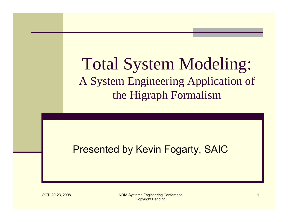# Total System Modeling: A System Engineering Application of the Higraph Formalism

#### Presented by Kevin Fogarty, SAIC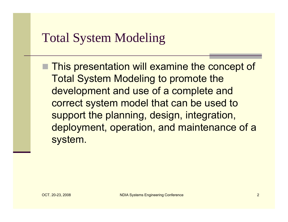# Total System Modeling

**This presentation will examine the concept of** Total System Modeling to promote the development and use of a complete and correct system model that can be used to support the planning, design, integration, deployment, operation, and maintenance of a system.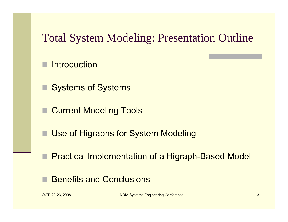## Total System Modeling: Presentation Outline

- **Introduction**
- Systems of Systems
- Current Modeling Tools
- Use of Higraphs for System Modeling
- Practical Implementation of a Higraph-Based Model
- Benefits and Conclusions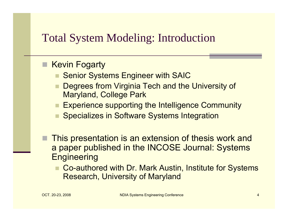#### Total System Modeling: Introduction

#### ■ Kevin Fogarty

- Senior Systems Engineer with SAIC
- Degrees from Virginia Tech and the University of Maryland, College Park
- **Experience supporting the Intelligence Community**
- Specializes in Software Systems Integration
- This presentation is an extension of thesis work and a paper published in the INCOSE Journal: Systems **Engineering** 
	- Co-authored with Dr. Mark Austin, Institute for Systems Research, University of Maryland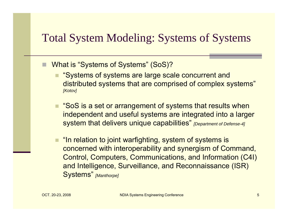#### Total System Modeling: Systems of Systems

- What is "Systems of Systems" (SoS)?
	- "Systems of systems are large scale concurrent and distributed systems that are comprised of complex systems" *[Kotov]*
	- "SoS is a set or arrangement of systems that results when independent and useful systems are integrated into a larger system that delivers unique capabilities" *[Department of Defense-4]*
	- "In relation to joint warfighting, system of systems is concerned with interoperability and synergism of Command, Control, Computers, Communications, and Information (C4I) and Intelligence, Surveillance, and Reconnaissance (ISR) Systems" *[Manthorpe]*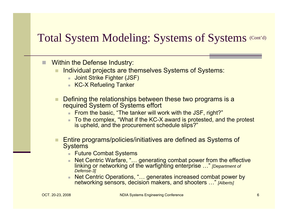#### Total System Modeling: Systems of Systems (Cont'd)

- п Within the Defense Industry:
	- Individual projects are themselves Systems of Systems:
		- Joint Strike Fighter (JSF)
		- KC-X Refueling Tanker
	- Defining the relationships between these two programs is a required System of Systems effort
		- From the basic, "The tanker will work with the JSF, right?"
		- $\mathbf{u}$  To the complex, "What if the KC-X award is protested, and the protest is upheld, and the procurement schedule slips?"
	- Entire programs/policies/initiatives are defined as Systems of **Systems** 
		- **Future Combat Systems**
		- m. Net Centric Warfare, "… generating combat power from the effective linking or networking of the warfighting enterprise …" *[Department of Defense-3]*
		- Net Centric Operations, "… generates increased combat power by networking sensors, decision makers, and shooters …" *[Alberts]*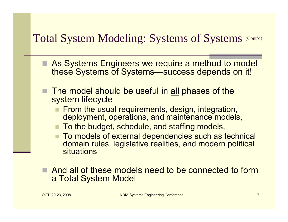#### Total System Modeling: Systems of Systems (Cont'd)

- As Systems Engineers we require a method to model these Systems of Systems—success depends on it!
- $\blacksquare$  The model should be useful in <u>all</u> phases of the system lifecycle
	- $\blacksquare$  From the usual requirements, design, integration, deployment, operations, and maintenance models,
	- To the budget, schedule, and staffing models,
	- To models of external dependencies such as technical domain rules, legislative realities, and modern political situations
- And all of these models need to be connected to form a Total System Model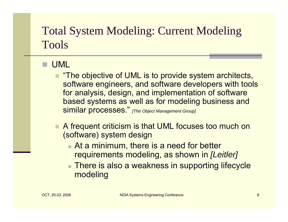#### UML

- "The objective of UML is to provide system architects, software engineers, and software developers with tools for analysis, design, and implementation of software based systems as well as for modeling business and similar processes." *[The Object Management Group]*
- A frequent criticism is that UML focuses too much on (software) system design
	- At a minimum, there is a need for better requirements modeling, as shown in *[Leitler]*
	- There is also a weakness in supporting lifecycle modeling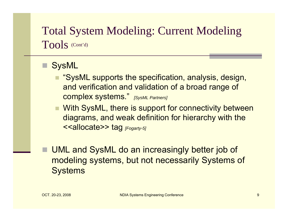- SysML
	- "SysML supports the specification, analysis, design, and verification and validation of a broad range of complex systems." *[SysML Partners]*
	- With SysML, there is support for connectivity between diagrams, and weak definition for hierarchy with the <<allocate>> tag *[Fogarty-5]*
	- UML and SysML do an increasingly better job of modeling systems, but not necessarily Systems of **Systems**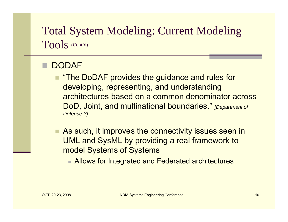#### DODAF

- "The DoDAF provides the guidance and rules for developing, representing, and understanding architectures based on a common denominator across DoD, Joint, and multinational boundaries." *[Department of Defense-3]*
- As such, it improves the connectivity issues seen in UML and SysML by providing a real framework to model Systems of Systems
	- Allows for Integrated and Federated architectures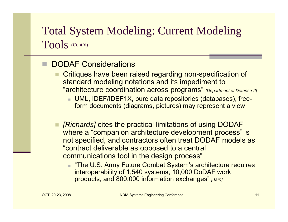#### DODAF Considerations

- Critiques have been raised regarding non-specification of standard modeling notations and its impediment to "architecture coordination across programs" *[Department of Defense-2]*
	- UML, IDEF/IDEF1X, pure data repositories (databases), freeform documents (diagrams, pictures) may represent a view
- *[Richards]* cites the practical limitations of using DODAF where a "companion architecture development process" is not specified, and contractors often treat DODAF models as "contract deliverable as opposed to a central communications tool in the design process"
	- "The U.S. Army Future Combat System's architecture requires interoperability of 1,540 systems, 10,000 DoDAF work products, and 800,000 information exchanges" *[Jain]*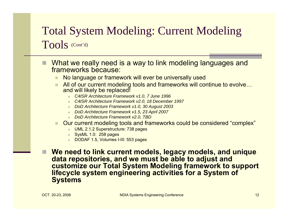- П What we really need is a way to link modeling languages and frameworks because:
	- No language or framework will ever be universally used
	- All of our current modeling tools and frameworks will continue to evolve… and will likely be replaced!
		- *C4ISR Architecture Framework v1.0, 7 June 1996*
		- *C4ISR Architecture Framework v2.0, 18 December 1997*
		- *DoD Architecture Framework v1.0, 30 August 2003*
		- *DoD Architecture Framework v1.5, 23 April 2007*
		- *DoD Architecture Framework v2.0, TBD*
	- Our current modeling tools and frameworks could be considered "complex"
		- UML 2.1.2 Superstructure: 738 pages
		- SysML 1.0:\_258 pages
		- DODAF 1.5, Volumes I-III: 553 pages
	- **We need to link current models, legacy models, and unique data repositories, and we must be able to adjust and customize our Total System Modeling framework to support lifecycle system engineering activities for a System of Systems**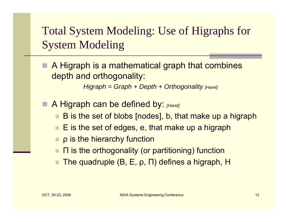A Higraph is a mathematical graph that combines depth and orthogonality:

*Higraph = Graph + Depth + Orthogonality [Harel]*

- A Higraph can be defined by: *[Harel]*
	- B is the set of blobs [nodes], b, that make up a higraph
	- $\blacksquare\,$  E is the set of edges, e, that make up a higraph
	- ρ is the hierarchy function
	- Π is the orthogonality (or partitioning) function
	- The quadruple (B, E, ρ, Π) defines a higraph, H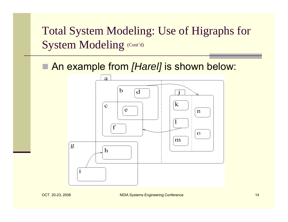■ An example from [Harel] is shown below:

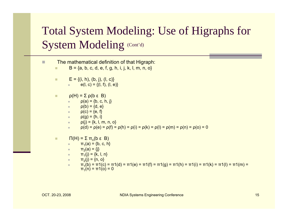| $\Box$ |   | The mathematical definition of that Higraph:<br>$B = \{a, b, c, d, e, f, g, h, i, j, k, l, m, n, o\}$                                                                                                                                                                                                                                                               |
|--------|---|---------------------------------------------------------------------------------------------------------------------------------------------------------------------------------------------------------------------------------------------------------------------------------------------------------------------------------------------------------------------|
|        | п | $E = \{(i, h), (b, j), (l, c)\}\$<br>$e(I, c) = \{(I, f), (I, e)\}$<br>a con                                                                                                                                                                                                                                                                                        |
|        | п | $\rho(H) = \sum \rho(b \epsilon B)$<br>$p(a) = \{b, c, h, j\}$<br>$\rho(b) = \{d, e\}$<br>$\rho(c) = \{e, f\}$<br>×.<br><b>p</b> (g) = {h, i}<br>$\rho(i) = \{k, l, m, n, o\}$<br>×.<br>$\rho(d) = \rho(e) = \rho(f) = \rho(h) = \rho(i) = \rho(k) = \rho(l) = \rho(m) = \rho(n) = \rho(o) = 0$<br>$\blacksquare$                                                   |
|        | П | $\Pi(H) = \Sigma \pi_n(b \epsilon B)$<br>$\pi_1(a) = \{b, c, h\}$<br>$\pi_2(a) = \{j\}$<br>×.<br>$\pi_1(j) = \{k, l, n\}$<br>$\blacksquare$<br>$\pi_2(j) = \{n, o\}$<br>$\blacksquare$<br>$\pi_1(b) = \pi_1(c) = \pi_1(d) = \pi_1(e) = \pi_1(f) = \pi_1(g) = \pi_1(h) = \pi_1(i) = \pi_1(k) = \pi_1(l) = \pi_1(m) =$<br>$\blacksquare$<br>$\pi_1(n) = \pi_1(o) = 0$ |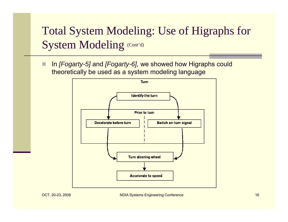П In *[Fogarty-5]* and *[Fogarty-6],* we showed how Higraphs could theoretically be used as a system modeling language

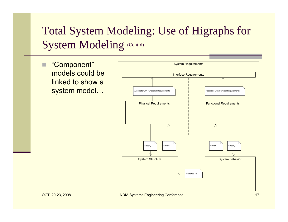П "Component" models could be linked to show a system model…

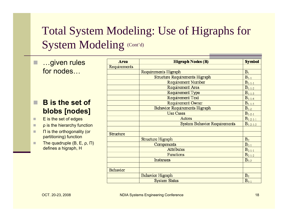$\Box$  …given rules for nodes…

#### **B is the set of blobs [nodes]**

- ш E is the set of edges
- п ρ is the hierarchy function
- ш Π is the orthogonality (or partitioning) function
- п The quadruple (B, E, ρ, Π) defines a higraph, H

| Area             | <b>Higraph Nodes (B)</b>            | <b>Symbol</b>  |
|------------------|-------------------------------------|----------------|
| Requirements     |                                     |                |
|                  | Requirements Higraph                | $B_1$          |
|                  | Structure Requirements Higraph      | $B_{1-1}$      |
|                  | <b>Requirement Number</b>           | $B_{1-1-1}$    |
|                  | Requirement Area                    | $B_{1-1-2}$    |
|                  | Requirement Type                    | $B_{1-1-3}$    |
|                  | Requirement Text                    | $B_{1-1-4}$    |
|                  | Requirement Owner                   | $B_{1-1-5}$    |
|                  | Behavior Requirements Higraph       | $B_{1-2}$      |
|                  | <b>Use Cases</b>                    | $B_{1-2-1}$    |
|                  | Actors                              | $B_{1-2-1-1}$  |
|                  | <b>System Behavior Requirements</b> | $B_{1-2-1-2}$  |
| <b>Structure</b> |                                     |                |
|                  | Structure Higraph                   | B <sub>2</sub> |
|                  | Components                          | $B_{2-1}$      |
|                  | Attributes                          | $B_{2-1-1}$    |
|                  | Functions                           | $B_{2-1-2}$    |
|                  | Instances                           | $B_{2-2}$      |
|                  |                                     |                |
| Behavior         |                                     |                |
|                  | Behavior Higraph                    | $B_3$          |
|                  | <b>System States</b>                | $B_{3-1}$      |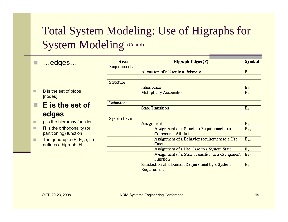$\Box$ …edges…

- ш B is the set of blobs [nodes]
- **E is the set of edges**
- П ρ is the hierarchy function
- п Π is the orthogonality (or partitioning) function
- ш The quadruple (B, E, ρ, Π) defines a higraph, H

| Area             | <b>Higraph Edges (E)</b>                         | <b>Symbol</b>  |
|------------------|--------------------------------------------------|----------------|
| Requirements     |                                                  |                |
|                  | Allocation of a User to a Behavior               | $E_1$          |
|                  |                                                  |                |
| <b>Structure</b> |                                                  |                |
|                  | Inheritance                                      | E <sub>2</sub> |
|                  | <b>Multiplicity Association</b>                  | $E_3$          |
| Behavior         |                                                  |                |
|                  | <b>State Transition</b>                          | $E_4$          |
|                  |                                                  |                |
| System Level     |                                                  |                |
|                  | Assignment                                       | E <sub>5</sub> |
|                  | Assignment of a Structure Requirement to a       | $E_{5-1}$      |
|                  | <b>Component Attribute</b>                       |                |
|                  | Assignment of a Behavior requirement to a Use    | $E_{5-2}$      |
|                  | Case                                             |                |
|                  | Assignment of a Use Case to a System State       | $E_{5-3}$      |
|                  | Assignment of a State Transition to a Component  | $E_{5-4}$      |
|                  | Function                                         |                |
|                  | Satisfaction of a Domain Requirement by a System | $E_6$          |
|                  | Requirement                                      |                |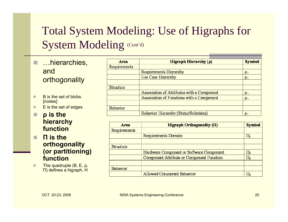- п …hierarchies, and orthogonality
- п B is the set of blobs [nodes]
- п E is the set of edges

#### н **ρ is the hierarchy function**

- П **Π is the orthogonality (or partitioning) function**
- п The quadruple (B, E, ρ, Π) defines a higraph, H

| <b>Area</b>      | Higraph Hierarchy $(\rho)$                 | <b>Symbol</b>  |
|------------------|--------------------------------------------|----------------|
| Requirements     |                                            |                |
|                  | Requirements Hierarchy                     | $p_1$          |
|                  | Use Case Hierarchy                         | p <sub>2</sub> |
|                  |                                            |                |
| <b>Structure</b> |                                            |                |
|                  | Association of Attributes with a Component | $p_3$          |
|                  | Association of Functions with a Component  | $\mathsf{p}_4$ |
|                  |                                            |                |
| Behavior         |                                            |                |
|                  | Behavior Hierarchy (States/Substates)      | p.             |

| Area         | Higraph Orthogonality $(\Pi)$             | <b>Symbol</b>  |
|--------------|-------------------------------------------|----------------|
| Requirements |                                           |                |
|              | Requirements Domain                       | 1 <sub>1</sub> |
|              |                                           |                |
| Structure    |                                           |                |
|              | Hardware Component or Software Component  | $\Pi_2$        |
|              | Component Attribute or Component Function | l I3           |
|              |                                           |                |
| Behavior     |                                           |                |
|              | Allowed Concurrent Behavior               | l L            |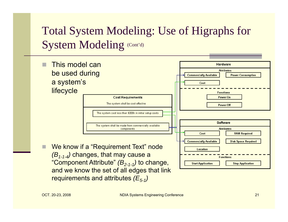

and we know the set of all edges that link requirements and attributes *(E<sub>5-1</sub>)*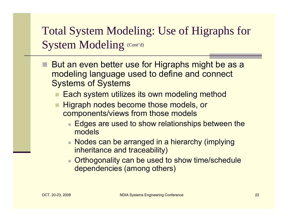- But an even better use for Higraphs might be as a modeling language used to define and connect Systems of Systems
	- $\blacksquare$  Each system utilizes its own modeling method
	- Higraph nodes become those models, or components/views from those models
		- $\blacksquare$  Edges are used to show relationships between the models
		- Nodes can be arranged in a hierarchy (implying inheritance and traceability)
		- П Orthogonality can be used to show time/schedule dependencies (among others)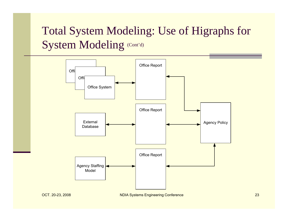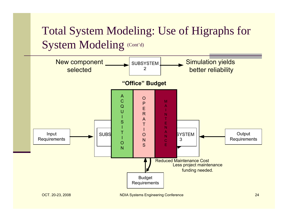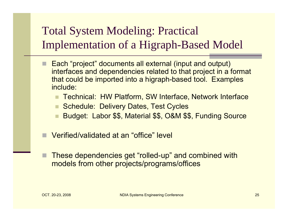- Each "project" documents all external (input and output) interfaces and dependencies related to that project in a format that could be imported into a higraph-based tool. Examples include:
	- Technical: HW Platform, SW Interface, Network Interface
	- Schedule: Delivery Dates, Test Cycles
	- Budget: Labor \$\$, Material \$\$, O&M \$\$, Funding Source
- Verified/validated at an "office" level
	- These dependencies get "rolled-up" and combined with models from other projects/programs/offices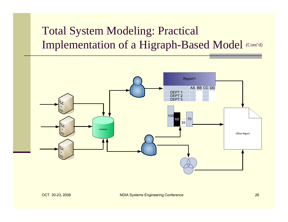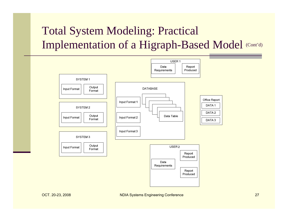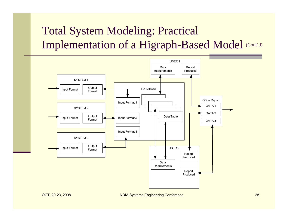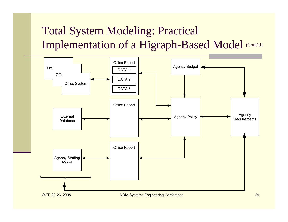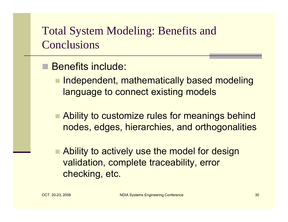## Total System Modeling: Benefits and **Conclusions**

#### Benefits include:

 $\blacksquare$  Independent, mathematically based modeling language to connect existing models

- Ability to customize rules for meanings behind nodes, edges, hierarchies, and orthogonalities
- Ability to actively use the model for design validation, complete traceability, error checking, etc.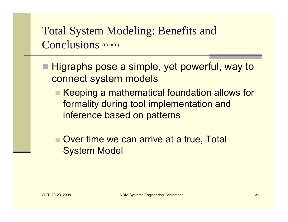## Total System Modeling: Benefits and Conclusions (Cont'd)

- Higraphs pose a simple, yet powerful, way to connect system models
	- Keeping a mathematical foundation allows for formality during tool implementation and inference based on patterns
	- Over time we can arrive at a true, Total System Model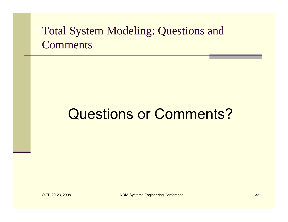## Total System Modeling: Questions and **Comments**

# Questions or Comments?